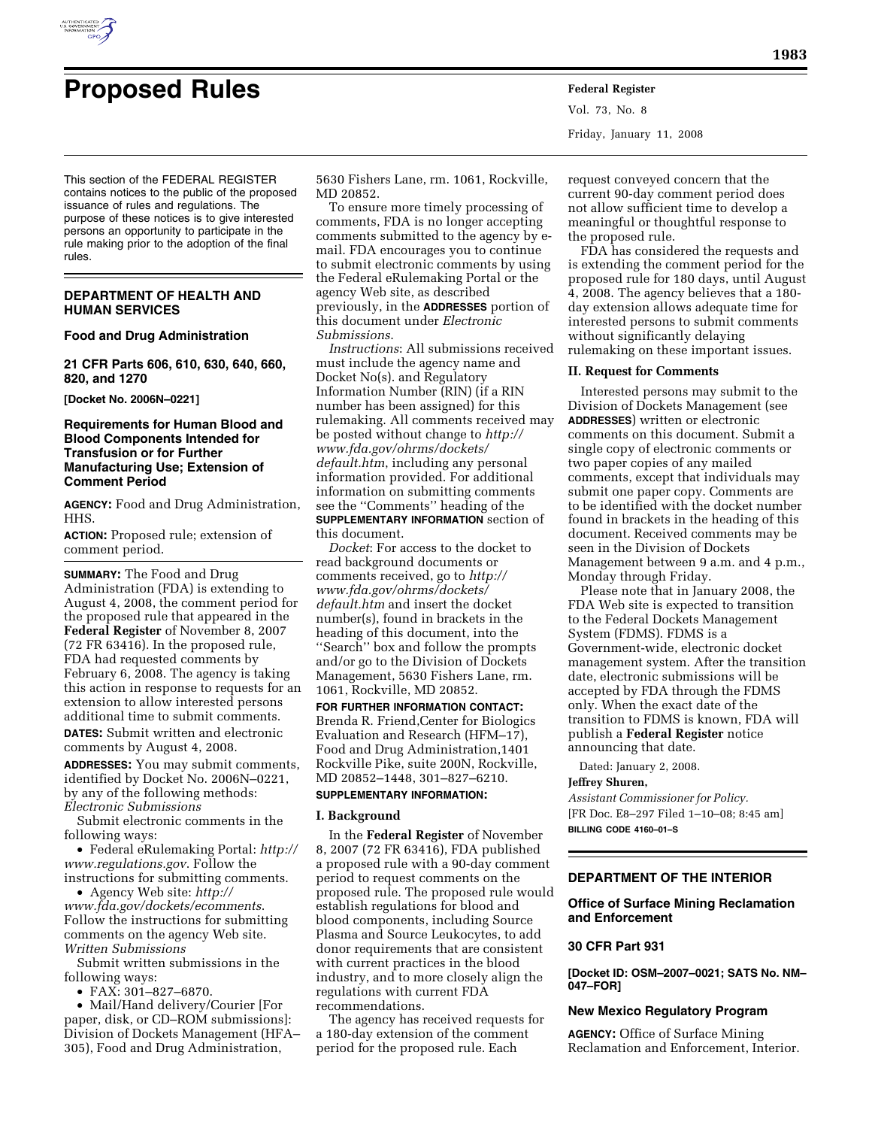

# **Proposed Rules Federal Register**

Vol. 73, No. 8 Friday, January 11, 2008

This section of the FEDERAL REGISTER contains notices to the public of the proposed issuance of rules and regulations. The purpose of these notices is to give interested persons an opportunity to participate in the rule making prior to the adoption of the final rules.

# **DEPARTMENT OF HEALTH AND HUMAN SERVICES**

#### **Food and Drug Administration**

**21 CFR Parts 606, 610, 630, 640, 660, 820, and 1270** 

**[Docket No. 2006N–0221]** 

# **Requirements for Human Blood and Blood Components Intended for Transfusion or for Further Manufacturing Use; Extension of Comment Period**

**AGENCY:** Food and Drug Administration, HHS.

**ACTION:** Proposed rule; extension of comment period.

**SUMMARY:** The Food and Drug Administration (FDA) is extending to August 4, 2008, the comment period for the proposed rule that appeared in the **Federal Register** of November 8, 2007 (72 FR 63416). In the proposed rule, FDA had requested comments by February 6, 2008. The agency is taking this action in response to requests for an extension to allow interested persons additional time to submit comments.

**DATES:** Submit written and electronic comments by August 4, 2008.

**ADDRESSES:** You may submit comments, identified by Docket No. 2006N–0221, by any of the following methods: *Electronic Submissions* 

Submit electronic comments in the following ways:

• Federal eRulemaking Portal: *http:// www.regulations.gov*. Follow the instructions for submitting comments.

• Agency Web site: *http:// www.fda.gov/dockets/ecomments*. Follow the instructions for submitting comments on the agency Web site. *Written Submissions* 

Submit written submissions in the following ways:

• FAX: 301–827–6870.

• Mail/Hand delivery/Courier [For paper, disk, or CD–ROM submissions]: Division of Dockets Management (HFA– 305), Food and Drug Administration,

5630 Fishers Lane, rm. 1061, Rockville, MD 20852.

To ensure more timely processing of comments, FDA is no longer accepting comments submitted to the agency by email. FDA encourages you to continue to submit electronic comments by using the Federal eRulemaking Portal or the agency Web site, as described previously, in the **ADDRESSES** portion of this document under *Electronic Submissions*.

*Instructions*: All submissions received must include the agency name and Docket No(s). and Regulatory Information Number (RIN) (if a RIN number has been assigned) for this rulemaking. All comments received may be posted without change to *http:// www.fda.gov/ohrms/dockets/ default.htm*, including any personal information provided. For additional information on submitting comments see the ''Comments'' heading of the **SUPPLEMENTARY INFORMATION** section of this document.

*Docket*: For access to the docket to read background documents or comments received, go to *http:// www.fda.gov/ohrms/dockets/ default.htm* and insert the docket number(s), found in brackets in the heading of this document, into the ''Search'' box and follow the prompts and/or go to the Division of Dockets Management, 5630 Fishers Lane, rm. 1061, Rockville, MD 20852.

**FOR FURTHER INFORMATION CONTACT:**  Brenda R. Friend,Center for Biologics Evaluation and Research (HFM–17), Food and Drug Administration,1401 Rockville Pike, suite 200N, Rockville, MD 20852–1448, 301–827–6210.

#### **SUPPLEMENTARY INFORMATION:**

# **I. Background**

In the **Federal Register** of November 8, 2007 (72 FR 63416), FDA published a proposed rule with a 90-day comment period to request comments on the proposed rule. The proposed rule would establish regulations for blood and blood components, including Source Plasma and Source Leukocytes, to add donor requirements that are consistent with current practices in the blood industry, and to more closely align the regulations with current FDA recommendations.

The agency has received requests for a 180-day extension of the comment period for the proposed rule. Each

request conveyed concern that the current 90-day comment period does not allow sufficient time to develop a meaningful or thoughtful response to the proposed rule.

FDA has considered the requests and is extending the comment period for the proposed rule for 180 days, until August 4, 2008. The agency believes that a 180 day extension allows adequate time for interested persons to submit comments without significantly delaying rulemaking on these important issues.

#### **II. Request for Comments**

Interested persons may submit to the Division of Dockets Management (see **ADDRESSES**) written or electronic comments on this document. Submit a single copy of electronic comments or two paper copies of any mailed comments, except that individuals may submit one paper copy. Comments are to be identified with the docket number found in brackets in the heading of this document. Received comments may be seen in the Division of Dockets Management between 9 a.m. and 4 p.m., Monday through Friday.

Please note that in January 2008, the FDA Web site is expected to transition to the Federal Dockets Management System (FDMS). FDMS is a Government-wide, electronic docket management system. After the transition date, electronic submissions will be accepted by FDA through the FDMS only. When the exact date of the transition to FDMS is known, FDA will publish a **Federal Register** notice announcing that date.

Dated: January 2, 2008.

# **Jeffrey Shuren,**

*Assistant Commissioner for Policy.*  [FR Doc. E8–297 Filed 1–10–08; 8:45 am] **BILLING CODE 4160–01–S** 

# **DEPARTMENT OF THE INTERIOR**

# **Office of Surface Mining Reclamation and Enforcement**

# **30 CFR Part 931**

**[Docket ID: OSM–2007–0021; SATS No. NM– 047–FOR]** 

### **New Mexico Regulatory Program**

**AGENCY:** Office of Surface Mining Reclamation and Enforcement, Interior.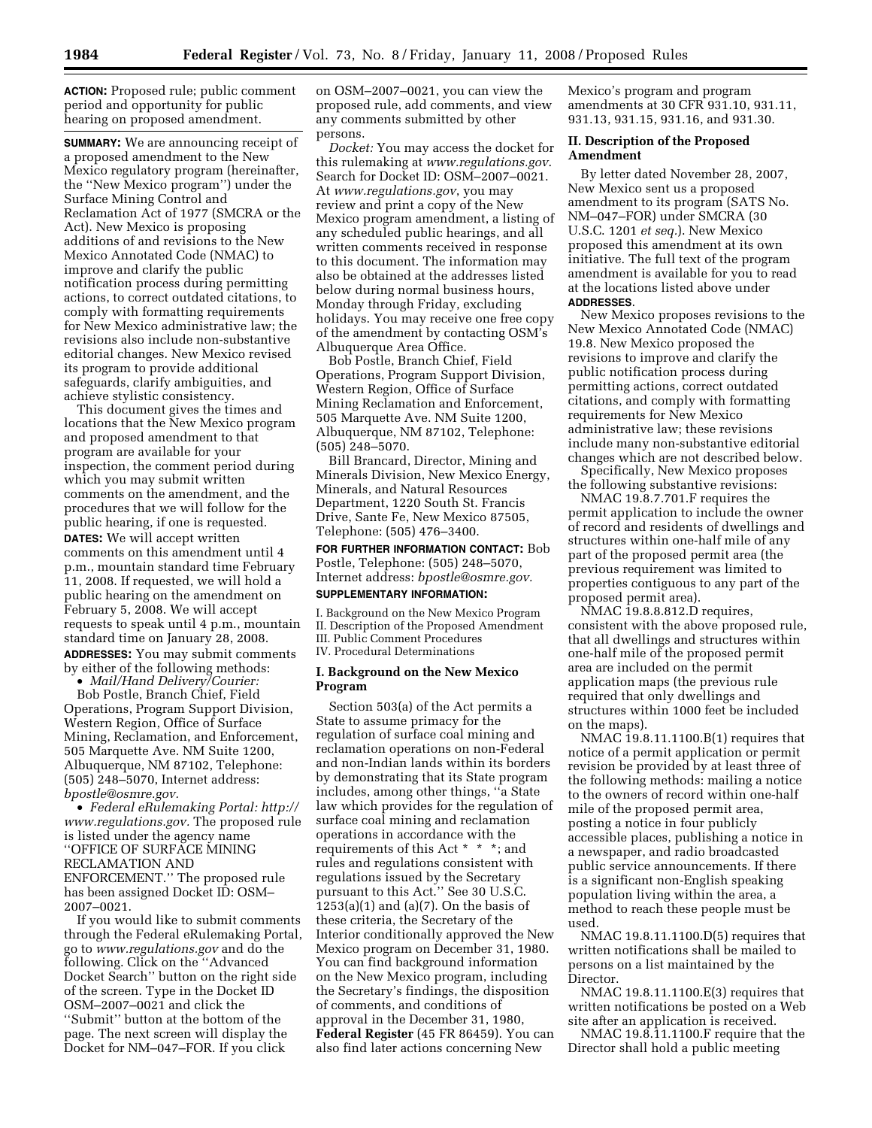**ACTION:** Proposed rule; public comment period and opportunity for public hearing on proposed amendment.

**SUMMARY:** We are announcing receipt of a proposed amendment to the New Mexico regulatory program (hereinafter, the ''New Mexico program'') under the Surface Mining Control and Reclamation Act of 1977 (SMCRA or the Act). New Mexico is proposing additions of and revisions to the New Mexico Annotated Code (NMAC) to improve and clarify the public notification process during permitting actions, to correct outdated citations, to comply with formatting requirements for New Mexico administrative law; the revisions also include non-substantive editorial changes. New Mexico revised its program to provide additional safeguards, clarify ambiguities, and achieve stylistic consistency.

This document gives the times and locations that the New Mexico program and proposed amendment to that program are available for your inspection, the comment period during which you may submit written comments on the amendment, and the procedures that we will follow for the public hearing, if one is requested. **DATES:** We will accept written comments on this amendment until 4 p.m., mountain standard time February 11, 2008. If requested, we will hold a public hearing on the amendment on February 5, 2008. We will accept requests to speak until 4 p.m., mountain standard time on January 28, 2008. **ADDRESSES:** You may submit comments

by either of the following methods:

• *Mail/Hand Delivery/Courier:* 

Bob Postle, Branch Chief, Field Operations, Program Support Division, Western Region, Office of Surface Mining, Reclamation, and Enforcement, 505 Marquette Ave. NM Suite 1200, Albuquerque, NM 87102, Telephone: (505) 248–5070, Internet address: *bpostle@osmre.gov.* 

• *Federal eRulemaking Portal: http:// www.regulations.gov.* The proposed rule is listed under the agency name ''OFFICE OF SURFACE MINING RECLAMATION AND ENFORCEMENT.'' The proposed rule has been assigned Docket ID: OSM– 2007–0021.

If you would like to submit comments through the Federal eRulemaking Portal, go to *www.regulations.gov* and do the following. Click on the ''Advanced Docket Search'' button on the right side of the screen. Type in the Docket ID OSM–2007–0021 and click the ''Submit'' button at the bottom of the page. The next screen will display the Docket for NM–047–FOR. If you click

on OSM–2007–0021, you can view the proposed rule, add comments, and view any comments submitted by other persons.

*Docket:* You may access the docket for this rulemaking at *www.regulations.gov*. Search for Docket ID: OSM–2007–0021. At *www.regulations.gov*, you may review and print a copy of the New Mexico program amendment, a listing of any scheduled public hearings, and all written comments received in response to this document. The information may also be obtained at the addresses listed below during normal business hours, Monday through Friday, excluding holidays. You may receive one free copy of the amendment by contacting OSM's Albuquerque Area Office.

Bob Postle, Branch Chief, Field Operations, Program Support Division, Western Region, Office of Surface Mining Reclamation and Enforcement, 505 Marquette Ave. NM Suite 1200, Albuquerque, NM 87102, Telephone: (505) 248–5070.

Bill Brancard, Director, Mining and Minerals Division, New Mexico Energy, Minerals, and Natural Resources Department, 1220 South St. Francis Drive, Sante Fe, New Mexico 87505, Telephone: (505) 476–3400.

**FOR FURTHER INFORMATION CONTACT:** Bob Postle, Telephone: (505) 248–5070, Internet address: *bpostle@osmre.gov.*  **SUPPLEMENTARY INFORMATION:** 

I. Background on the New Mexico Program II. Description of the Proposed Amendment III. Public Comment Procedures IV. Procedural Determinations

# **I. Background on the New Mexico Program**

Section 503(a) of the Act permits a State to assume primacy for the regulation of surface coal mining and reclamation operations on non-Federal and non-Indian lands within its borders by demonstrating that its State program includes, among other things, ''a State law which provides for the regulation of surface coal mining and reclamation operations in accordance with the requirements of this Act \* \* \*; and rules and regulations consistent with regulations issued by the Secretary pursuant to this Act.'' See 30 U.S.C.  $1253(a)(1)$  and  $(a)(7)$ . On the basis of these criteria, the Secretary of the Interior conditionally approved the New Mexico program on December 31, 1980. You can find background information on the New Mexico program, including the Secretary's findings, the disposition of comments, and conditions of approval in the December 31, 1980, **Federal Register** (45 FR 86459). You can also find later actions concerning New

Mexico's program and program amendments at 30 CFR 931.10, 931.11, 931.13, 931.15, 931.16, and 931.30.

# **II. Description of the Proposed Amendment**

By letter dated November 28, 2007, New Mexico sent us a proposed amendment to its program (SATS No. NM–047–FOR) under SMCRA (30 U.S.C. 1201 *et seq.*). New Mexico proposed this amendment at its own initiative. The full text of the program amendment is available for you to read at the locations listed above under **ADDRESSES**.

New Mexico proposes revisions to the New Mexico Annotated Code (NMAC) 19.8. New Mexico proposed the revisions to improve and clarify the public notification process during permitting actions, correct outdated citations, and comply with formatting requirements for New Mexico administrative law; these revisions include many non-substantive editorial changes which are not described below.

Specifically, New Mexico proposes the following substantive revisions:

NMAC 19.8.7.701.F requires the permit application to include the owner of record and residents of dwellings and structures within one-half mile of any part of the proposed permit area (the previous requirement was limited to properties contiguous to any part of the proposed permit area).

NMAC 19.8.8.812.D requires, consistent with the above proposed rule, that all dwellings and structures within one-half mile of the proposed permit area are included on the permit application maps (the previous rule required that only dwellings and structures within 1000 feet be included on the maps).

NMAC 19.8.11.1100.B(1) requires that notice of a permit application or permit revision be provided by at least three of the following methods: mailing a notice to the owners of record within one-half mile of the proposed permit area, posting a notice in four publicly accessible places, publishing a notice in a newspaper, and radio broadcasted public service announcements. If there is a significant non-English speaking population living within the area, a method to reach these people must be used.

NMAC 19.8.11.1100.D(5) requires that written notifications shall be mailed to persons on a list maintained by the Director.

NMAC 19.8.11.1100.E(3) requires that written notifications be posted on a Web site after an application is received.

NMAC 19.8.11.1100.F require that the Director shall hold a public meeting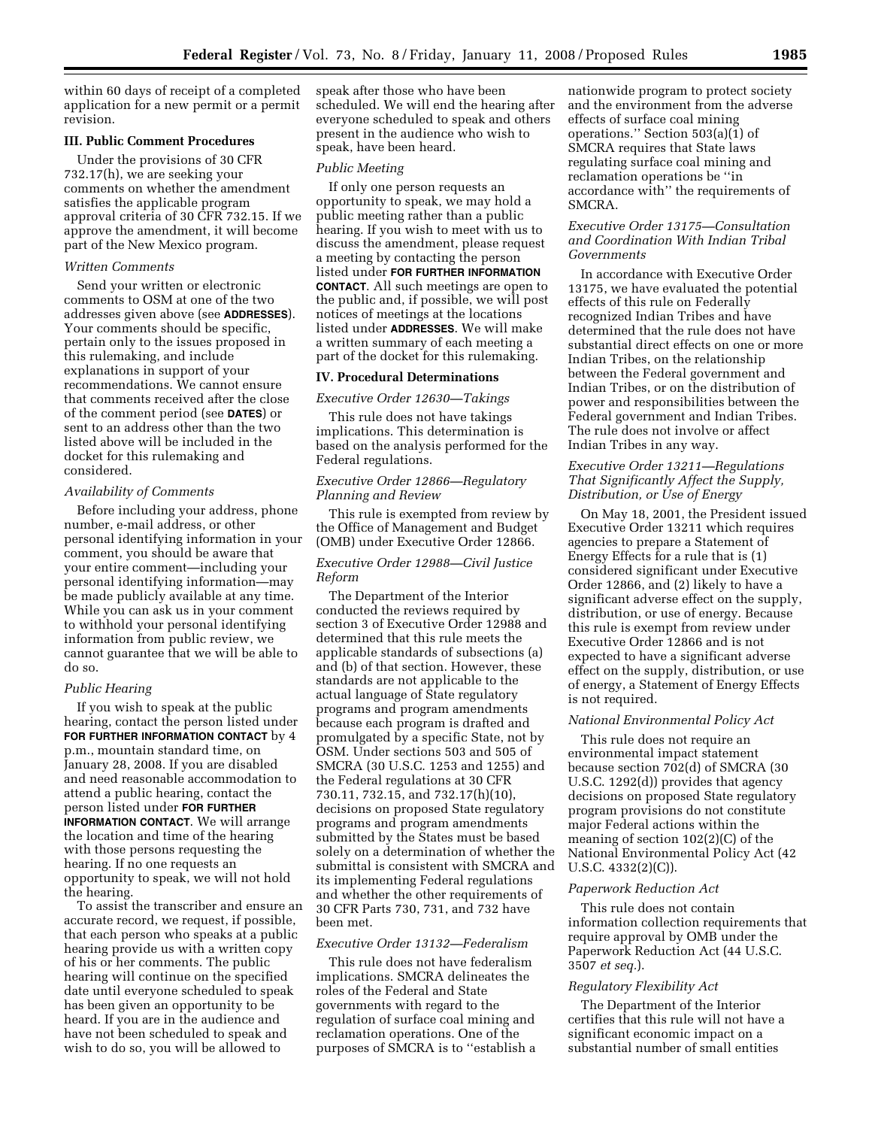within 60 days of receipt of a completed application for a new permit or a permit revision.

# **III. Public Comment Procedures**

Under the provisions of 30 CFR 732.17(h), we are seeking your comments on whether the amendment satisfies the applicable program approval criteria of 30 CFR 732.15. If we approve the amendment, it will become part of the New Mexico program.

#### *Written Comments*

Send your written or electronic comments to OSM at one of the two addresses given above (see **ADDRESSES**). Your comments should be specific, pertain only to the issues proposed in this rulemaking, and include explanations in support of your recommendations. We cannot ensure that comments received after the close of the comment period (see **DATES**) or sent to an address other than the two listed above will be included in the docket for this rulemaking and considered.

# *Availability of Comments*

Before including your address, phone number, e-mail address, or other personal identifying information in your comment, you should be aware that your entire comment—including your personal identifying information—may be made publicly available at any time. While you can ask us in your comment to withhold your personal identifying information from public review, we cannot guarantee that we will be able to do so.

# *Public Hearing*

If you wish to speak at the public hearing, contact the person listed under **FOR FURTHER INFORMATION CONTACT** by 4 p.m., mountain standard time, on January 28, 2008. If you are disabled and need reasonable accommodation to attend a public hearing, contact the person listed under **FOR FURTHER INFORMATION CONTACT**. We will arrange the location and time of the hearing with those persons requesting the hearing. If no one requests an opportunity to speak, we will not hold the hearing.

To assist the transcriber and ensure an accurate record, we request, if possible, that each person who speaks at a public hearing provide us with a written copy of his or her comments. The public hearing will continue on the specified date until everyone scheduled to speak has been given an opportunity to be heard. If you are in the audience and have not been scheduled to speak and wish to do so, you will be allowed to

speak after those who have been scheduled. We will end the hearing after everyone scheduled to speak and others present in the audience who wish to speak, have been heard.

#### *Public Meeting*

If only one person requests an opportunity to speak, we may hold a public meeting rather than a public hearing. If you wish to meet with us to discuss the amendment, please request a meeting by contacting the person listed under **FOR FURTHER INFORMATION CONTACT**. All such meetings are open to the public and, if possible, we will post notices of meetings at the locations listed under **ADDRESSES**. We will make a written summary of each meeting a part of the docket for this rulemaking.

#### **IV. Procedural Determinations**

*Executive Order 12630—Takings* 

This rule does not have takings implications. This determination is based on the analysis performed for the Federal regulations.

# *Executive Order 12866—Regulatory Planning and Review*

This rule is exempted from review by the Office of Management and Budget (OMB) under Executive Order 12866.

# *Executive Order 12988—Civil Justice Reform*

The Department of the Interior conducted the reviews required by section 3 of Executive Order 12988 and determined that this rule meets the applicable standards of subsections (a) and (b) of that section. However, these standards are not applicable to the actual language of State regulatory programs and program amendments because each program is drafted and promulgated by a specific State, not by OSM. Under sections 503 and 505 of SMCRA (30 U.S.C. 1253 and 1255) and the Federal regulations at 30 CFR 730.11, 732.15, and 732.17(h)(10), decisions on proposed State regulatory programs and program amendments submitted by the States must be based solely on a determination of whether the submittal is consistent with SMCRA and its implementing Federal regulations and whether the other requirements of 30 CFR Parts 730, 731, and 732 have been met.

# *Executive Order 13132—Federalism*

This rule does not have federalism implications. SMCRA delineates the roles of the Federal and State governments with regard to the regulation of surface coal mining and reclamation operations. One of the purposes of SMCRA is to ''establish a

nationwide program to protect society and the environment from the adverse effects of surface coal mining operations." Section  $503(a)(1)$  of SMCRA requires that State laws regulating surface coal mining and reclamation operations be ''in accordance with'' the requirements of SMCRA.

# *Executive Order 13175—Consultation and Coordination With Indian Tribal Governments*

In accordance with Executive Order 13175, we have evaluated the potential effects of this rule on Federally recognized Indian Tribes and have determined that the rule does not have substantial direct effects on one or more Indian Tribes, on the relationship between the Federal government and Indian Tribes, or on the distribution of power and responsibilities between the Federal government and Indian Tribes. The rule does not involve or affect Indian Tribes in any way.

# *Executive Order 13211—Regulations That Significantly Affect the Supply, Distribution, or Use of Energy*

On May 18, 2001, the President issued Executive Order 13211 which requires agencies to prepare a Statement of Energy Effects for a rule that is (1) considered significant under Executive Order 12866, and (2) likely to have a significant adverse effect on the supply, distribution, or use of energy. Because this rule is exempt from review under Executive Order 12866 and is not expected to have a significant adverse effect on the supply, distribution, or use of energy, a Statement of Energy Effects is not required.

#### *National Environmental Policy Act*

This rule does not require an environmental impact statement because section 702(d) of SMCRA (30 U.S.C. 1292(d)) provides that agency decisions on proposed State regulatory program provisions do not constitute major Federal actions within the meaning of section 102(2)(C) of the National Environmental Policy Act (42 U.S.C. 4332(2)(C)).

#### *Paperwork Reduction Act*

This rule does not contain information collection requirements that require approval by OMB under the Paperwork Reduction Act (44 U.S.C. 3507 *et seq.*).

# *Regulatory Flexibility Act*

The Department of the Interior certifies that this rule will not have a significant economic impact on a substantial number of small entities